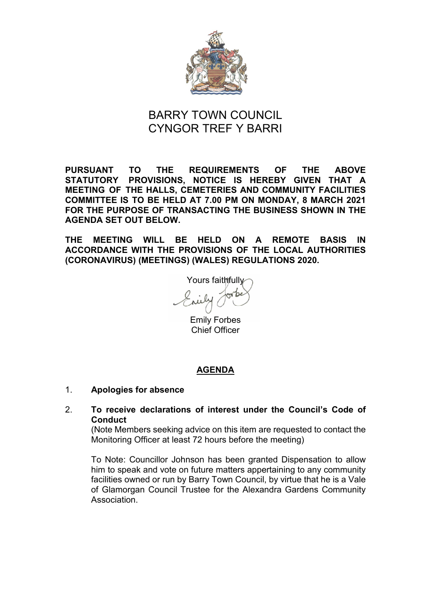

# BARRY TOWN COUNCIL CYNGOR TREF Y BARRI

**PURSUANT TO THE REQUIREMENTS OF THE ABOVE STATUTORY PROVISIONS, NOTICE IS HEREBY GIVEN THAT A MEETING OF THE HALLS, CEMETERIES AND COMMUNITY FACILITIES COMMITTEE IS TO BE HELD AT 7.00 PM ON MONDAY, 8 MARCH 2021 FOR THE PURPOSE OF TRANSACTING THE BUSINESS SHOWN IN THE AGENDA SET OUT BELOW.** 

**THE MEETING WILL BE HELD ON A REMOTE BASIS IN ACCORDANCE WITH THE PROVISIONS OF THE LOCAL AUTHORITIES (CORONAVIRUS) (MEETINGS) (WALES) REGULATIONS 2020.** 

Yours faithfully

Emily Forbes Chief Officer

# **AGENDA**

# 1. **Apologies for absence**

# 2. **To receive declarations of interest under the Council's Code of Conduct**

(Note Members seeking advice on this item are requested to contact the Monitoring Officer at least 72 hours before the meeting)

To Note: Councillor Johnson has been granted Dispensation to allow him to speak and vote on future matters appertaining to any community facilities owned or run by Barry Town Council, by virtue that he is a Vale of Glamorgan Council Trustee for the Alexandra Gardens Community Association.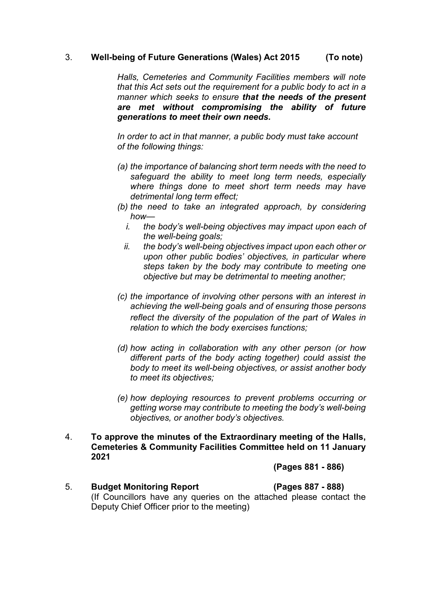# 3. **Well-being of Future Generations (Wales) Act 2015 (To note)**

*Halls, Cemeteries and Community Facilities members will note that this Act sets out the requirement for a public body to act in a manner which seeks to ensure that the needs of the present are met without compromising the ability of future generations to meet their own needs.*

*In order to act in that manner, a public body must take account of the following things:*

- *(a) the importance of balancing short term needs with the need to safeguard the ability to meet long term needs, especially where things done to meet short term needs may have detrimental long term effect;*
- *(b) the need to take an integrated approach, by considering how*
	- *i. the body's well-being objectives may impact upon each of the well-being goals;*
	- *ii. the body's well-being objectives impact upon each other or upon other public bodies' objectives, in particular where steps taken by the body may contribute to meeting one objective but may be detrimental to meeting another;*
- *(c) the importance of involving other persons with an interest in achieving the well-being goals and of ensuring those persons reflect the diversity of the population of the part of Wales in relation to which the body exercises functions;*
- *(d) how acting in collaboration with any other person (or how different parts of the body acting together) could assist the body to meet its well-being objectives, or assist another body to meet its objectives;*
- *(e) how deploying resources to prevent problems occurring or getting worse may contribute to meeting the body's well-being objectives, or another body's objectives.*
- 4. **To approve the minutes of the Extraordinary meeting of the Halls, Cemeteries & Community Facilities Committee held on 11 January 2021**

**(Pages 881 - 886)**

5. **Budget Monitoring Report (Pages 887 - 888)**  (If Councillors have any queries on the attached please contact the Deputy Chief Officer prior to the meeting)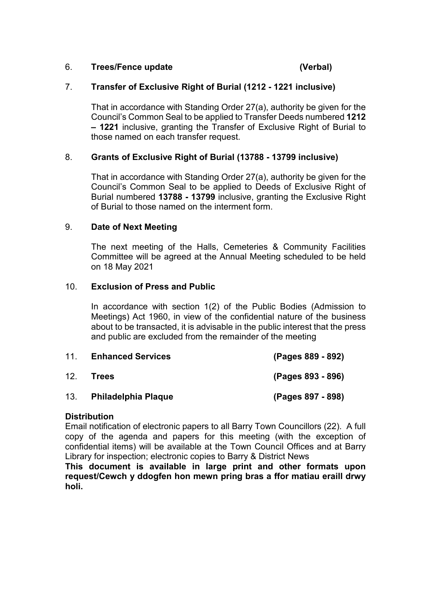# 6. **Trees/Fence update (Verbal)**

# 7. **Transfer of Exclusive Right of Burial (1212 - 1221 inclusive)**

That in accordance with Standing Order 27(a), authority be given for the Council's Common Seal to be applied to Transfer Deeds numbered **1212 – 1221** inclusive, granting the Transfer of Exclusive Right of Burial to those named on each transfer request.

# 8. **Grants of Exclusive Right of Burial (13788 - 13799 inclusive)**

That in accordance with Standing Order 27(a), authority be given for the Council's Common Seal to be applied to Deeds of Exclusive Right of Burial numbered **13788 - 13799** inclusive, granting the Exclusive Right of Burial to those named on the interment form.

### 9. **Date of Next Meeting**

The next meeting of the Halls, Cemeteries & Community Facilities Committee will be agreed at the Annual Meeting scheduled to be held on 18 May 2021

### 10. **Exclusion of Press and Public**

In accordance with section 1(2) of the Public Bodies (Admission to Meetings) Act 1960, in view of the confidential nature of the business about to be transacted, it is advisable in the public interest that the press and public are excluded from the remainder of the meeting

| 11  | <b>Enhanced Services</b> | (Pages 889 - 892) |
|-----|--------------------------|-------------------|
| 12. | <b>Trees</b>             | (Pages 893 - 896) |
| 13. | Philadelphia Plaque      | (Pages 897 - 898) |

#### **Distribution**

Email notification of electronic papers to all Barry Town Councillors (22). A full copy of the agenda and papers for this meeting (with the exception of confidential items) will be available at the Town Council Offices and at Barry Library for inspection; electronic copies to Barry & District News

**This document is available in large print and other formats upon request/Cewch y ddogfen hon mewn pring bras a ffor matiau eraill drwy holi.**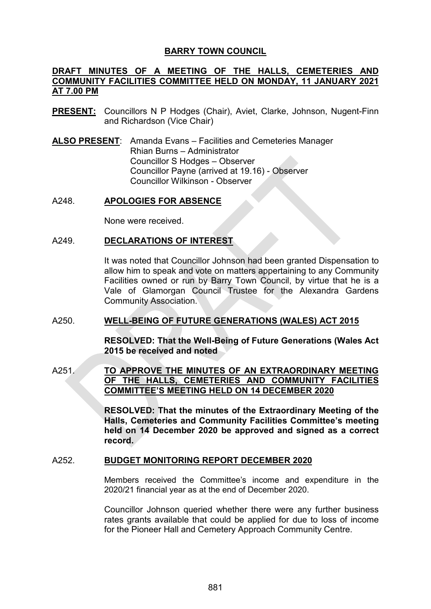# **BARRY TOWN COUNCIL**

# **DRAFT MINUTES OF A MEETING OF THE HALLS, CEMETERIES AND COMMUNITY FACILITIES COMMITTEE HELD ON MONDAY, 11 JANUARY 2021 AT 7.00 PM**

- **PRESENT:** Councillors N P Hodges (Chair), Aviet, Clarke, Johnson, Nugent-Finn and Richardson (Vice Chair)
- **ALSO PRESENT**: Amanda Evans Facilities and Cemeteries Manager Rhian Burns – Administrator Councillor S Hodges – Observer Councillor Payne (arrived at 19.16) - Observer Councillor Wilkinson - Observer

### A248. **APOLOGIES FOR ABSENCE**

None were received.

### A249. **DECLARATIONS OF INTEREST**

It was noted that Councillor Johnson had been granted Dispensation to allow him to speak and vote on matters appertaining to any Community Facilities owned or run by Barry Town Council, by virtue that he is a Vale of Glamorgan Council Trustee for the Alexandra Gardens Community Association.

# A250. **WELL-BEING OF FUTURE GENERATIONS (WALES) ACT 2015**

**RESOLVED: That the Well-Being of Future Generations (Wales Act 2015 be received and noted** 

# A251. **TO APPROVE THE MINUTES OF AN EXTRAORDINARY MEETING OF THE HALLS, CEMETERIES AND COMMUNITY FACILITIES COMMITTEE'S MEETING HELD ON 14 DECEMBER 2020**

**RESOLVED: That the minutes of the Extraordinary Meeting of the Halls, Cemeteries and Community Facilities Committee's meeting held on 14 December 2020 be approved and signed as a correct record.** 

#### A252. **BUDGET MONITORING REPORT DECEMBER 2020**

Members received the Committee's income and expenditure in the 2020/21 financial year as at the end of December 2020.

Councillor Johnson queried whether there were any further business rates grants available that could be applied for due to loss of income for the Pioneer Hall and Cemetery Approach Community Centre.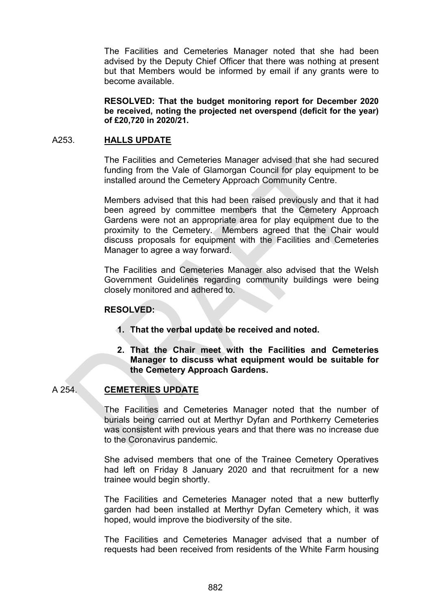The Facilities and Cemeteries Manager noted that she had been advised by the Deputy Chief Officer that there was nothing at present but that Members would be informed by email if any grants were to become available.

**RESOLVED: That the budget monitoring report for December 2020 be received, noting the projected net overspend (deficit for the year) of £20,720 in 2020/21.**

#### A253. **HALLS UPDATE**

The Facilities and Cemeteries Manager advised that she had secured funding from the Vale of Glamorgan Council for play equipment to be installed around the Cemetery Approach Community Centre.

Members advised that this had been raised previously and that it had been agreed by committee members that the Cemetery Approach Gardens were not an appropriate area for play equipment due to the proximity to the Cemetery. Members agreed that the Chair would discuss proposals for equipment with the Facilities and Cemeteries Manager to agree a way forward.

The Facilities and Cemeteries Manager also advised that the Welsh Government Guidelines regarding community buildings were being closely monitored and adhered to.

#### **RESOLVED:**

- **1. That the verbal update be received and noted.**
- **2. That the Chair meet with the Facilities and Cemeteries Manager to discuss what equipment would be suitable for the Cemetery Approach Gardens.**

# A 254. **CEMETERIES UPDATE**

The Facilities and Cemeteries Manager noted that the number of burials being carried out at Merthyr Dyfan and Porthkerry Cemeteries was consistent with previous years and that there was no increase due to the Coronavirus pandemic.

She advised members that one of the Trainee Cemetery Operatives had left on Friday 8 January 2020 and that recruitment for a new trainee would begin shortly.

The Facilities and Cemeteries Manager noted that a new butterfly garden had been installed at Merthyr Dyfan Cemetery which, it was hoped, would improve the biodiversity of the site.

The Facilities and Cemeteries Manager advised that a number of requests had been received from residents of the White Farm housing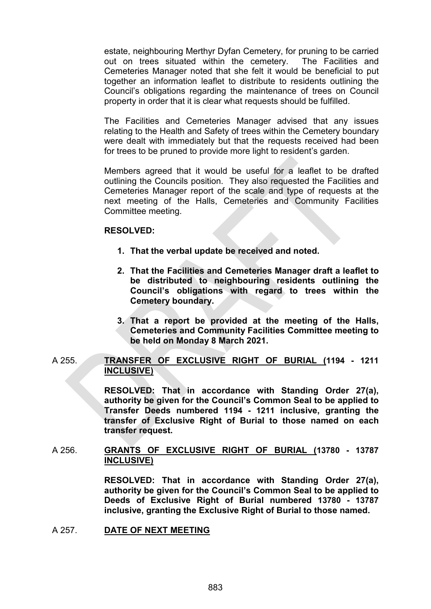estate, neighbouring Merthyr Dyfan Cemetery, for pruning to be carried out on trees situated within the cemetery. The Facilities and Cemeteries Manager noted that she felt it would be beneficial to put together an information leaflet to distribute to residents outlining the Council's obligations regarding the maintenance of trees on Council property in order that it is clear what requests should be fulfilled.

The Facilities and Cemeteries Manager advised that any issues relating to the Health and Safety of trees within the Cemetery boundary were dealt with immediately but that the requests received had been for trees to be pruned to provide more light to resident's garden.

Members agreed that it would be useful for a leaflet to be drafted outlining the Councils position. They also requested the Facilities and Cemeteries Manager report of the scale and type of requests at the next meeting of the Halls, Cemeteries and Community Facilities Committee meeting.

#### **RESOLVED:**

- **1. That the verbal update be received and noted.**
- **2. That the Facilities and Cemeteries Manager draft a leaflet to be distributed to neighbouring residents outlining the Council's obligations with regard to trees within the Cemetery boundary.**
- **3. That a report be provided at the meeting of the Halls, Cemeteries and Community Facilities Committee meeting to be held on Monday 8 March 2021.**

### A 255. **TRANSFER OF EXCLUSIVE RIGHT OF BURIAL (1194 - 1211 INCLUSIVE)**

**RESOLVED: That in accordance with Standing Order 27(a), authority be given for the Council's Common Seal to be applied to Transfer Deeds numbered 1194 - 1211 inclusive, granting the transfer of Exclusive Right of Burial to those named on each transfer request.** 

# A 256. **GRANTS OF EXCLUSIVE RIGHT OF BURIAL (13780 - 13787 INCLUSIVE)**

**RESOLVED: That in accordance with Standing Order 27(a), authority be given for the Council's Common Seal to be applied to Deeds of Exclusive Right of Burial numbered 13780 - 13787 inclusive, granting the Exclusive Right of Burial to those named.** 

A 257. **DATE OF NEXT MEETING**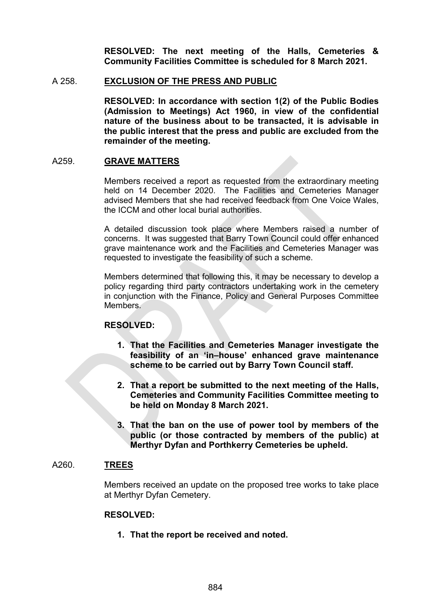**RESOLVED: The next meeting of the Halls, Cemeteries & Community Facilities Committee is scheduled for 8 March 2021.**

#### A 258. **EXCLUSION OF THE PRESS AND PUBLIC**

**RESOLVED: In accordance with section 1(2) of the Public Bodies (Admission to Meetings) Act 1960, in view of the confidential nature of the business about to be transacted, it is advisable in the public interest that the press and public are excluded from the remainder of the meeting.**

#### A259. **GRAVE MATTERS**

Members received a report as requested from the extraordinary meeting held on 14 December 2020. The Facilities and Cemeteries Manager advised Members that she had received feedback from One Voice Wales, the ICCM and other local burial authorities.

A detailed discussion took place where Members raised a number of concerns. It was suggested that Barry Town Council could offer enhanced grave maintenance work and the Facilities and Cemeteries Manager was requested to investigate the feasibility of such a scheme.

Members determined that following this, it may be necessary to develop a policy regarding third party contractors undertaking work in the cemetery in conjunction with the Finance, Policy and General Purposes Committee Members.

#### **RESOLVED:**

- **1. That the Facilities and Cemeteries Manager investigate the feasibility of an 'in–house' enhanced grave maintenance scheme to be carried out by Barry Town Council staff.**
- **2. That a report be submitted to the next meeting of the Halls, Cemeteries and Community Facilities Committee meeting to be held on Monday 8 March 2021.**
- **3. That the ban on the use of power tool by members of the public (or those contracted by members of the public) at Merthyr Dyfan and Porthkerry Cemeteries be upheld.**

### A260. **TREES**

Members received an update on the proposed tree works to take place at Merthyr Dyfan Cemetery.

#### **RESOLVED:**

**1. That the report be received and noted.**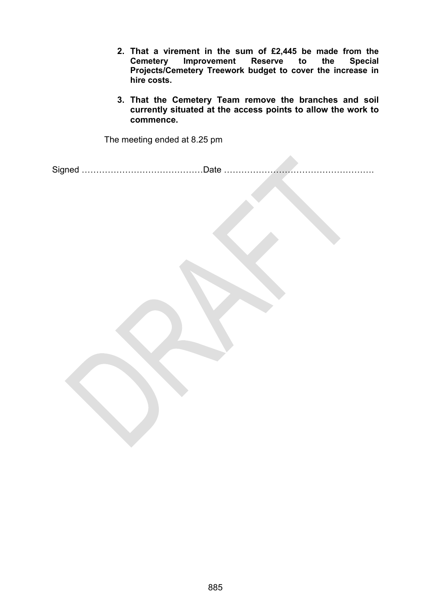- **2. That a virement in the sum of £2,445 be made from the Cemetery Improvement Reserve to the Special Projects/Cemetery Treework budget to cover the increase in hire costs.**
- **3. That the Cemetery Team remove the branches and soil currently situated at the access points to allow the work to commence.**

The meeting ended at 8.25 pm

Signed ……………………………………Date …………………………………………….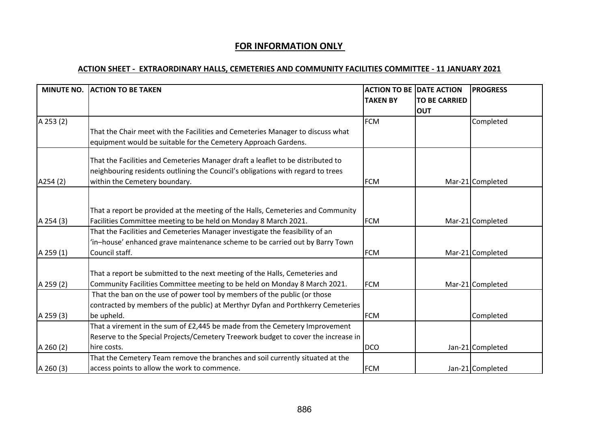# **FOR INFORMATION ONLY**

# **ACTION SHEET - EXTRAORDINARY HALLS, CEMETERIES AND COMMUNITY FACILITIES COMMITTEE - 11 JANUARY 2021**

| <b>MINUTE NO.</b> | <b>ACTION TO BE TAKEN</b>                                                                                                                                                                           | <b>ACTION TO BE DATE ACTION</b><br><b>TAKEN BY</b> | <b>TO BE CARRIED</b><br><b>OUT</b> | <b>PROGRESS</b>  |
|-------------------|-----------------------------------------------------------------------------------------------------------------------------------------------------------------------------------------------------|----------------------------------------------------|------------------------------------|------------------|
| A 253 (2)         |                                                                                                                                                                                                     | <b>FCM</b>                                         |                                    | Completed        |
|                   | That the Chair meet with the Facilities and Cemeteries Manager to discuss what<br>equipment would be suitable for the Cemetery Approach Gardens.                                                    |                                                    |                                    |                  |
| A254 (2)          | That the Facilities and Cemeteries Manager draft a leaflet to be distributed to<br>neighbouring residents outlining the Council's obligations with regard to trees<br>within the Cemetery boundary. | <b>FCM</b>                                         |                                    | Mar-21 Completed |
|                   |                                                                                                                                                                                                     |                                                    |                                    |                  |
| A 254 (3)         | That a report be provided at the meeting of the Halls, Cemeteries and Community<br>Facilities Committee meeting to be held on Monday 8 March 2021.                                                  | <b>FCM</b>                                         |                                    | Mar-21 Completed |
| A 259 (1)         | That the Facilities and Cemeteries Manager investigate the feasibility of an<br>'in-house' enhanced grave maintenance scheme to be carried out by Barry Town<br>Council staff.                      | <b>FCM</b>                                         |                                    | Mar-21 Completed |
| A 259 (2)         | That a report be submitted to the next meeting of the Halls, Cemeteries and<br>Community Facilities Committee meeting to be held on Monday 8 March 2021.                                            | <b>FCM</b>                                         |                                    | Mar-21 Completed |
| A 259 (3)         | That the ban on the use of power tool by members of the public (or those<br>contracted by members of the public) at Merthyr Dyfan and Porthkerry Cemeteries<br>be upheld.                           | <b>FCM</b>                                         |                                    | Completed        |
|                   | That a virement in the sum of £2,445 be made from the Cemetery Improvement<br>Reserve to the Special Projects/Cemetery Treework budget to cover the increase in                                     |                                                    |                                    |                  |
| A 260(2)          | hire costs.                                                                                                                                                                                         | <b>DCO</b>                                         |                                    | Jan-21 Completed |
| A 260 (3)         | That the Cemetery Team remove the branches and soil currently situated at the<br>access points to allow the work to commence.                                                                       | <b>FCM</b>                                         |                                    | Jan-21 Completed |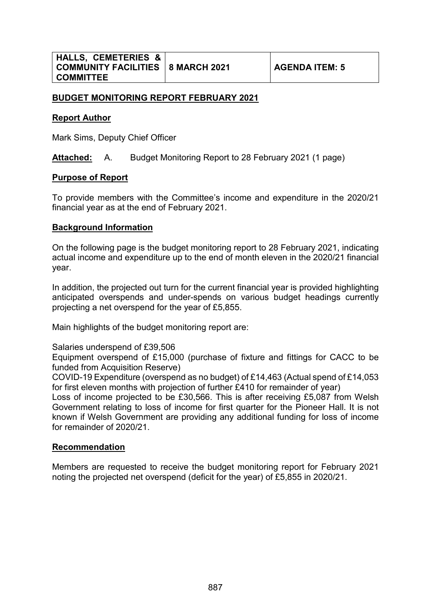# **BUDGET MONITORING REPORT FEBRUARY 2021**

### **Report Author**

Mark Sims, Deputy Chief Officer

**Attached:** A. Budget Monitoring Report to 28 February 2021 (1 page)

### **Purpose of Report**

To provide members with the Committee's income and expenditure in the 2020/21 financial year as at the end of February 2021.

### **Background Information**

On the following page is the budget monitoring report to 28 February 2021, indicating actual income and expenditure up to the end of month eleven in the 2020/21 financial year.

In addition, the projected out turn for the current financial year is provided highlighting anticipated overspends and under-spends on various budget headings currently projecting a net overspend for the year of £5,855.

Main highlights of the budget monitoring report are:

Salaries underspend of £39,506

Equipment overspend of £15,000 (purchase of fixture and fittings for CACC to be funded from Acquisition Reserve)

COVID-19 Expenditure (overspend as no budget) of £14,463 (Actual spend of £14,053 for first eleven months with projection of further £410 for remainder of year)

Loss of income projected to be £30,566. This is after receiving £5,087 from Welsh Government relating to loss of income for first quarter for the Pioneer Hall. It is not known if Welsh Government are providing any additional funding for loss of income for remainder of 2020/21.

# **Recommendation**

Members are requested to receive the budget monitoring report for February 2021 noting the projected net overspend (deficit for the year) of £5,855 in 2020/21.